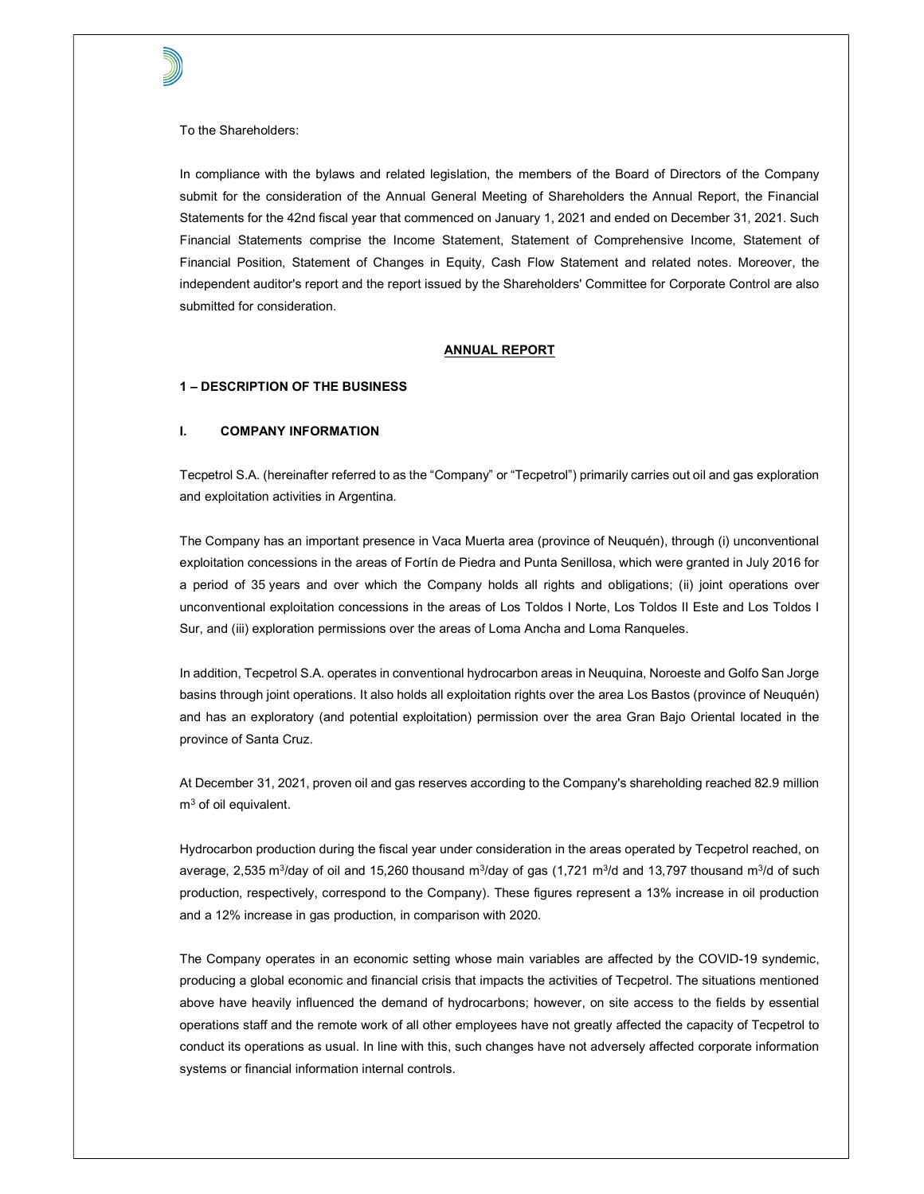To the Shareholders:

In compliance with the bylaws and related legislation, the members of the Board of Directors of the Company submit for the consideration of the Annual General Meeting of Shareholders the Annual Report, the Financial Statements for the 42nd fiscal year that commenced on January 1, 2021 and ended on December 31, 2021. Such Financial Statements comprise the Income Statement, Statement of Comprehensive Income, Statement of Financial Position, Statement of Changes in Equity, Cash Flow Statement and related notes. Moreover, the independent auditor's report and the report issued by the Shareholders' Committee for Corporate Control are also submitted for consideration.

#### ANNUAL REPORT

#### 1 – DESCRIPTION OF THE BUSINESS

### I. COMPANY INFORMATION

Tecpetrol S.A. (hereinafter referred to as the "Company" or "Tecpetrol") primarily carries out oil and gas exploration and exploitation activities in Argentina.

The Company has an important presence in Vaca Muerta area (province of Neuquén), through (i) unconventional exploitation concessions in the areas of Fortín de Piedra and Punta Senillosa, which were granted in July 2016 for a period of 35 years and over which the Company holds all rights and obligations; (ii) joint operations over unconventional exploitation concessions in the areas of Los Toldos I Norte, Los Toldos II Este and Los Toldos I Sur, and (iii) exploration permissions over the areas of Loma Ancha and Loma Ranqueles.

In addition, Tecpetrol S.A. operates in conventional hydrocarbon areas in Neuquina, Noroeste and Golfo San Jorge basins through joint operations. It also holds all exploitation rights over the area Los Bastos (province of Neuquén) and has an exploratory (and potential exploitation) permission over the area Gran Bajo Oriental located in the province of Santa Cruz.

At December 31, 2021, proven oil and gas reserves according to the Company's shareholding reached 82.9 million  $\mathsf{m}^3$  of oil equivalent.

Hydrocarbon production during the fiscal year under consideration in the areas operated by Tecpetrol reached, on average, 2,535 m $^3$ /day of oil and 15,260 thousand m $^3$ /day of gas (1,721 m $^3$ /d and 13,797 thousand m $^3$ /d of such production, respectively, correspond to the Company). These figures represent a 13% increase in oil production and a 12% increase in gas production, in comparison with 2020.

The Company operates in an economic setting whose main variables are affected by the COVID-19 syndemic, producing a global economic and financial crisis that impacts the activities of Tecpetrol. The situations mentioned above have heavily influenced the demand of hydrocarbons; however, on site access to the fields by essential operations staff and the remote work of all other employees have not greatly affected the capacity of Tecpetrol to conduct its operations as usual. In line with this, such changes have not adversely affected corporate information systems or financial information internal controls.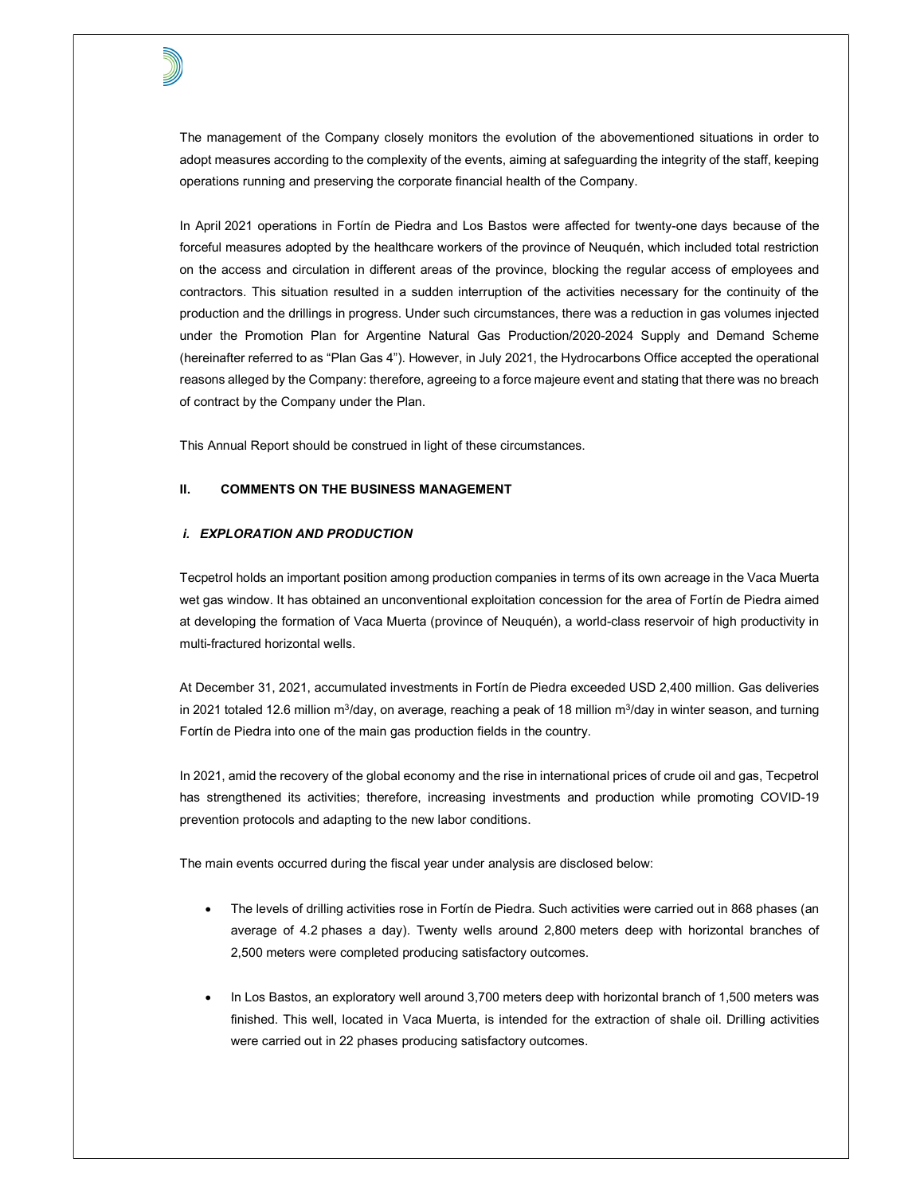The management of the Company closely monitors the evolution of the abovementioned situations in order to adopt measures according to the complexity of the events, aiming at safeguarding the integrity of the staff, keeping operations running and preserving the corporate financial health of the Company.

In April 2021 operations in Fortín de Piedra and Los Bastos were affected for twenty-one days because of the forceful measures adopted by the healthcare workers of the province of Neuquén, which included total restriction on the access and circulation in different areas of the province, blocking the regular access of employees and contractors. This situation resulted in a sudden interruption of the activities necessary for the continuity of the production and the drillings in progress. Under such circumstances, there was a reduction in gas volumes injected under the Promotion Plan for Argentine Natural Gas Production/2020-2024 Supply and Demand Scheme (hereinafter referred to as "Plan Gas 4"). However, in July 2021, the Hydrocarbons Office accepted the operational reasons alleged by the Company: therefore, agreeing to a force majeure event and stating that there was no breach of contract by the Company under the Plan.

This Annual Report should be construed in light of these circumstances.

# II. COMMENTS ON THE BUSINESS MANAGEMENT

#### i. EXPLORATION AND PRODUCTION

Tecpetrol holds an important position among production companies in terms of its own acreage in the Vaca Muerta wet gas window. It has obtained an unconventional exploitation concession for the area of Fortín de Piedra aimed at developing the formation of Vaca Muerta (province of Neuquén), a world-class reservoir of high productivity in multi-fractured horizontal wells.

At December 31, 2021, accumulated investments in Fortín de Piedra exceeded USD 2,400 million. Gas deliveries in 2021 totaled 12.6 million m<sup>3</sup>/day, on average, reaching a peak of 18 million m<sup>3</sup>/day in winter season, and turning Fortín de Piedra into one of the main gas production fields in the country.

In 2021, amid the recovery of the global economy and the rise in international prices of crude oil and gas, Tecpetrol has strengthened its activities; therefore, increasing investments and production while promoting COVID-19 prevention protocols and adapting to the new labor conditions.

The main events occurred during the fiscal year under analysis are disclosed below:

- The levels of drilling activities rose in Fortín de Piedra. Such activities were carried out in 868 phases (an average of 4.2 phases a day). Twenty wells around 2,800 meters deep with horizontal branches of 2,500 meters were completed producing satisfactory outcomes.
- In Los Bastos, an exploratory well around 3,700 meters deep with horizontal branch of 1,500 meters was finished. This well, located in Vaca Muerta, is intended for the extraction of shale oil. Drilling activities were carried out in 22 phases producing satisfactory outcomes.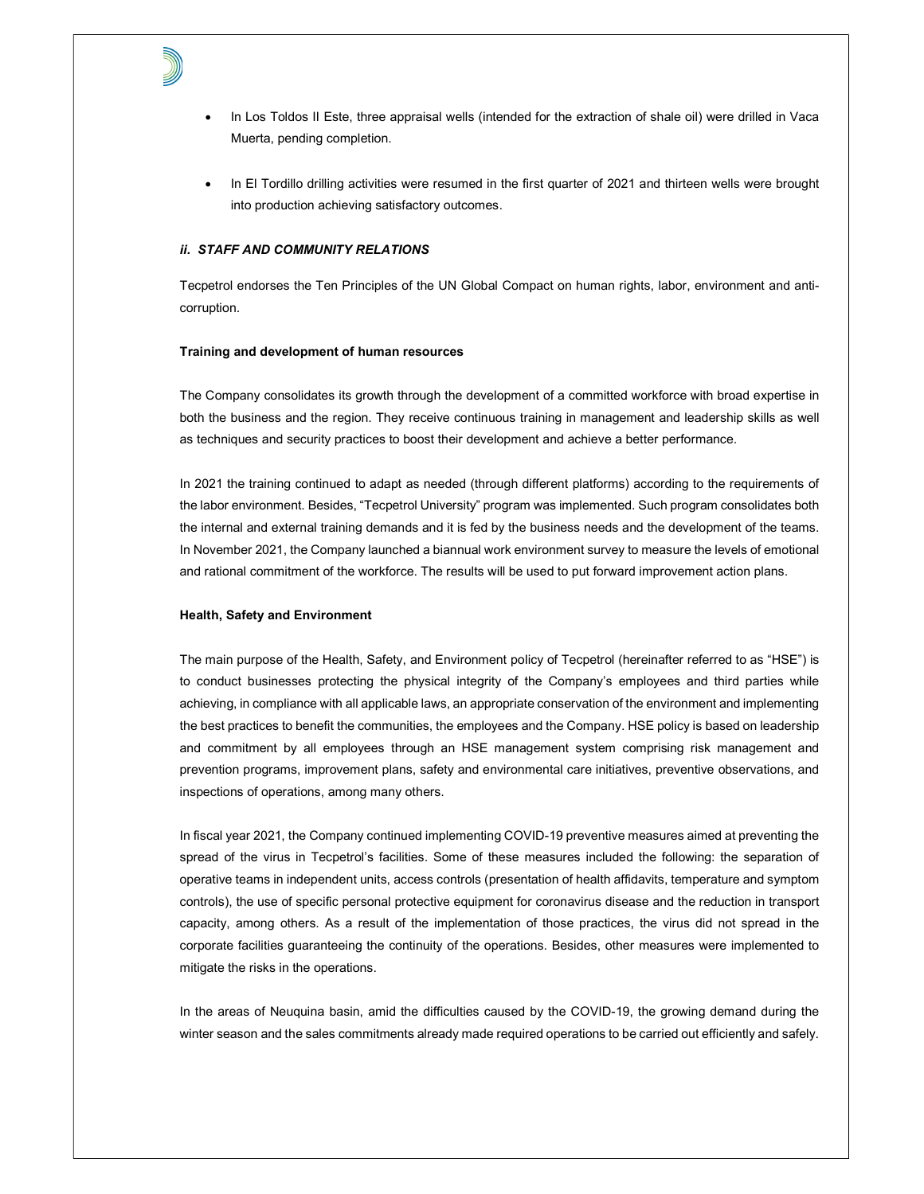

- In Los Toldos II Este, three appraisal wells (intended for the extraction of shale oil) were drilled in Vaca Muerta, pending completion.
- In El Tordillo drilling activities were resumed in the first quarter of 2021 and thirteen wells were brought into production achieving satisfactory outcomes.

# ii. STAFF AND COMMUNITY RELATIONS

Tecpetrol endorses the Ten Principles of the UN Global Compact on human rights, labor, environment and anticorruption.

#### Training and development of human resources

The Company consolidates its growth through the development of a committed workforce with broad expertise in both the business and the region. They receive continuous training in management and leadership skills as well as techniques and security practices to boost their development and achieve a better performance.

In 2021 the training continued to adapt as needed (through different platforms) according to the requirements of the labor environment. Besides, "Tecpetrol University" program was implemented. Such program consolidates both the internal and external training demands and it is fed by the business needs and the development of the teams. In November 2021, the Company launched a biannual work environment survey to measure the levels of emotional and rational commitment of the workforce. The results will be used to put forward improvement action plans.

#### Health, Safety and Environment

The main purpose of the Health, Safety, and Environment policy of Tecpetrol (hereinafter referred to as "HSE") is to conduct businesses protecting the physical integrity of the Company's employees and third parties while achieving, in compliance with all applicable laws, an appropriate conservation of the environment and implementing the best practices to benefit the communities, the employees and the Company. HSE policy is based on leadership and commitment by all employees through an HSE management system comprising risk management and prevention programs, improvement plans, safety and environmental care initiatives, preventive observations, and inspections of operations, among many others.

In fiscal year 2021, the Company continued implementing COVID-19 preventive measures aimed at preventing the spread of the virus in Tecpetrol's facilities. Some of these measures included the following: the separation of operative teams in independent units, access controls (presentation of health affidavits, temperature and symptom controls), the use of specific personal protective equipment for coronavirus disease and the reduction in transport capacity, among others. As a result of the implementation of those practices, the virus did not spread in the corporate facilities guaranteeing the continuity of the operations. Besides, other measures were implemented to mitigate the risks in the operations.

In the areas of Neuquina basin, amid the difficulties caused by the COVID-19, the growing demand during the winter season and the sales commitments already made required operations to be carried out efficiently and safely.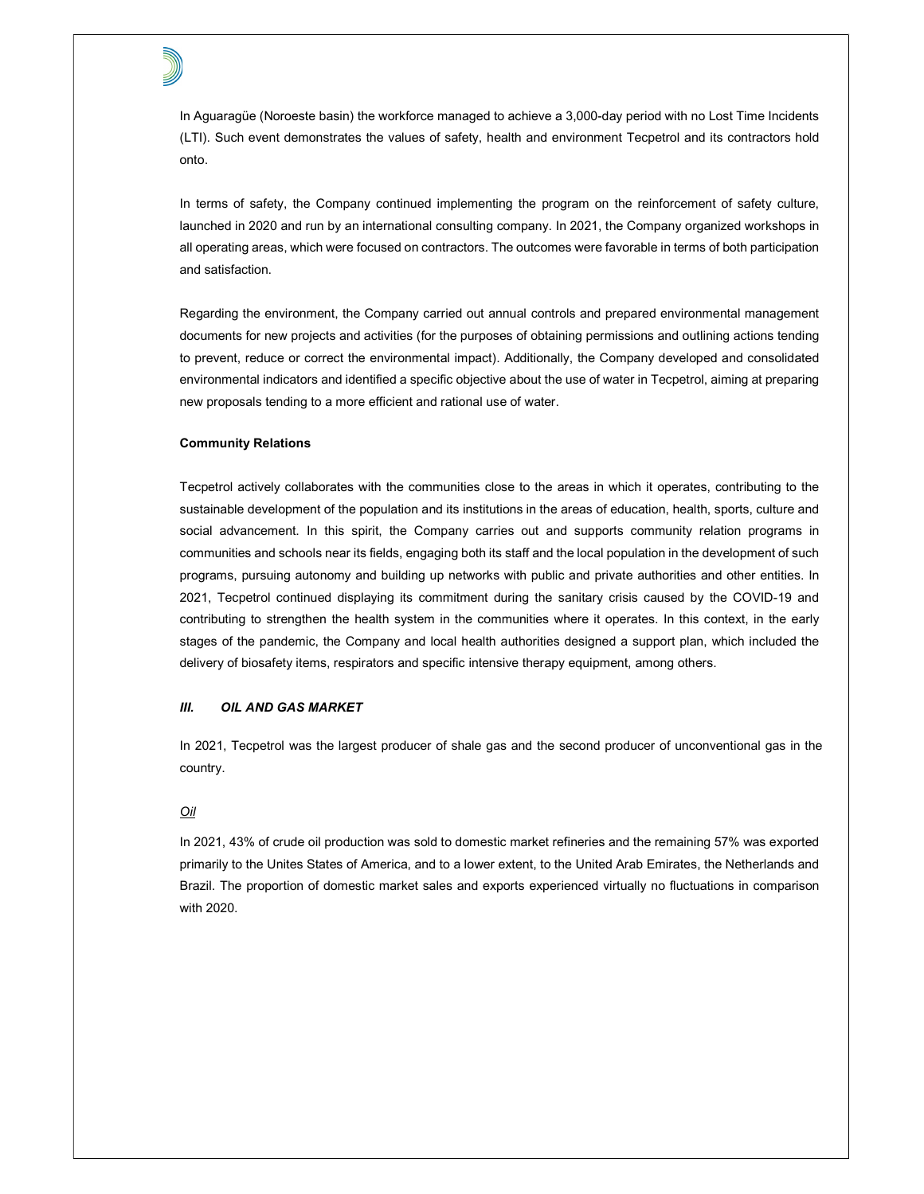In Aguaragüe (Noroeste basin) the workforce managed to achieve a 3,000-day period with no Lost Time Incidents (LTI). Such event demonstrates the values of safety, health and environment Tecpetrol and its contractors hold onto.

In terms of safety, the Company continued implementing the program on the reinforcement of safety culture, launched in 2020 and run by an international consulting company. In 2021, the Company organized workshops in all operating areas, which were focused on contractors. The outcomes were favorable in terms of both participation and satisfaction.

Regarding the environment, the Company carried out annual controls and prepared environmental management documents for new projects and activities (for the purposes of obtaining permissions and outlining actions tending to prevent, reduce or correct the environmental impact). Additionally, the Company developed and consolidated environmental indicators and identified a specific objective about the use of water in Tecpetrol, aiming at preparing new proposals tending to a more efficient and rational use of water.

## Community Relations

Tecpetrol actively collaborates with the communities close to the areas in which it operates, contributing to the sustainable development of the population and its institutions in the areas of education, health, sports, culture and social advancement. In this spirit, the Company carries out and supports community relation programs in communities and schools near its fields, engaging both its staff and the local population in the development of such programs, pursuing autonomy and building up networks with public and private authorities and other entities. In 2021, Tecpetrol continued displaying its commitment during the sanitary crisis caused by the COVID-19 and contributing to strengthen the health system in the communities where it operates. In this context, in the early stages of the pandemic, the Company and local health authorities designed a support plan, which included the delivery of biosafety items, respirators and specific intensive therapy equipment, among others.

# III. OIL AND GAS MARKET

In 2021, Tecpetrol was the largest producer of shale gas and the second producer of unconventional gas in the country.

## Oil

In 2021, 43% of crude oil production was sold to domestic market refineries and the remaining 57% was exported primarily to the Unites States of America, and to a lower extent, to the United Arab Emirates, the Netherlands and Brazil. The proportion of domestic market sales and exports experienced virtually no fluctuations in comparison with 2020.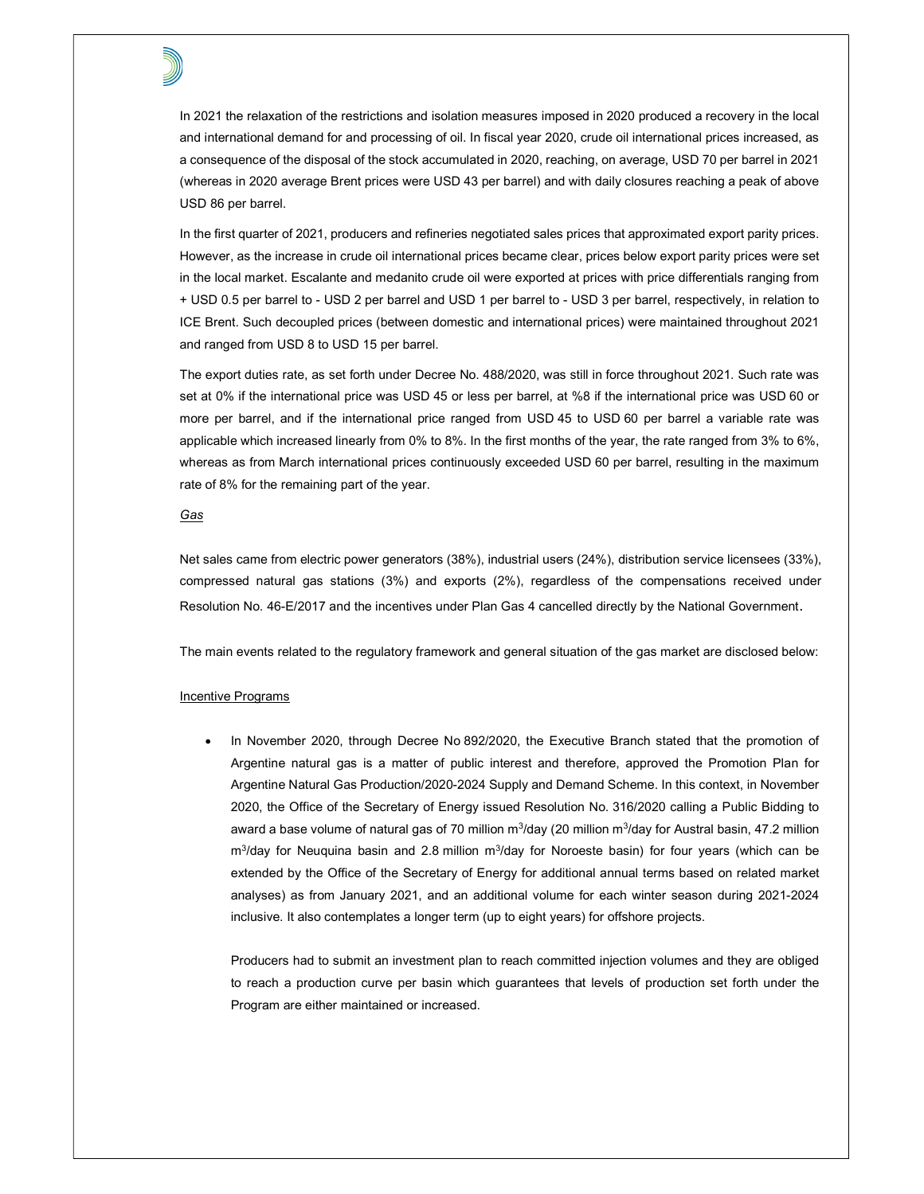In 2021 the relaxation of the restrictions and isolation measures imposed in 2020 produced a recovery in the local and international demand for and processing of oil. In fiscal year 2020, crude oil international prices increased, as a consequence of the disposal of the stock accumulated in 2020, reaching, on average, USD 70 per barrel in 2021 (whereas in 2020 average Brent prices were USD 43 per barrel) and with daily closures reaching a peak of above USD 86 per barrel.

In the first quarter of 2021, producers and refineries negotiated sales prices that approximated export parity prices. However, as the increase in crude oil international prices became clear, prices below export parity prices were set in the local market. Escalante and medanito crude oil were exported at prices with price differentials ranging from + USD 0.5 per barrel to - USD 2 per barrel and USD 1 per barrel to - USD 3 per barrel, respectively, in relation to ICE Brent. Such decoupled prices (between domestic and international prices) were maintained throughout 2021 and ranged from USD 8 to USD 15 per barrel.

The export duties rate, as set forth under Decree No. 488/2020, was still in force throughout 2021. Such rate was set at 0% if the international price was USD 45 or less per barrel, at %8 if the international price was USD 60 or more per barrel, and if the international price ranged from USD 45 to USD 60 per barrel a variable rate was applicable which increased linearly from 0% to 8%. In the first months of the year, the rate ranged from 3% to 6%, whereas as from March international prices continuously exceeded USD 60 per barrel, resulting in the maximum rate of 8% for the remaining part of the year.

#### Gas

Net sales came from electric power generators (38%), industrial users (24%), distribution service licensees (33%), compressed natural gas stations (3%) and exports (2%), regardless of the compensations received under Resolution No. 46-E/2017 and the incentives under Plan Gas 4 cancelled directly by the National Government.

The main events related to the regulatory framework and general situation of the gas market are disclosed below:

## Incentive Programs

 In November 2020, through Decree No 892/2020, the Executive Branch stated that the promotion of Argentine natural gas is a matter of public interest and therefore, approved the Promotion Plan for Argentine Natural Gas Production/2020-2024 Supply and Demand Scheme. In this context, in November 2020, the Office of the Secretary of Energy issued Resolution No. 316/2020 calling a Public Bidding to award a base volume of natural gas of 70 million m ${}^{3}$ /day (20 million m ${}^{3}$ /day for Austral basin, 47.2 million m<sup>3</sup>/day for Neuquina basin and 2.8 million m<sup>3</sup>/day for Noroeste basin) for four years (which can be extended by the Office of the Secretary of Energy for additional annual terms based on related market analyses) as from January 2021, and an additional volume for each winter season during 2021-2024 inclusive. It also contemplates a longer term (up to eight years) for offshore projects.

Producers had to submit an investment plan to reach committed injection volumes and they are obliged to reach a production curve per basin which guarantees that levels of production set forth under the Program are either maintained or increased.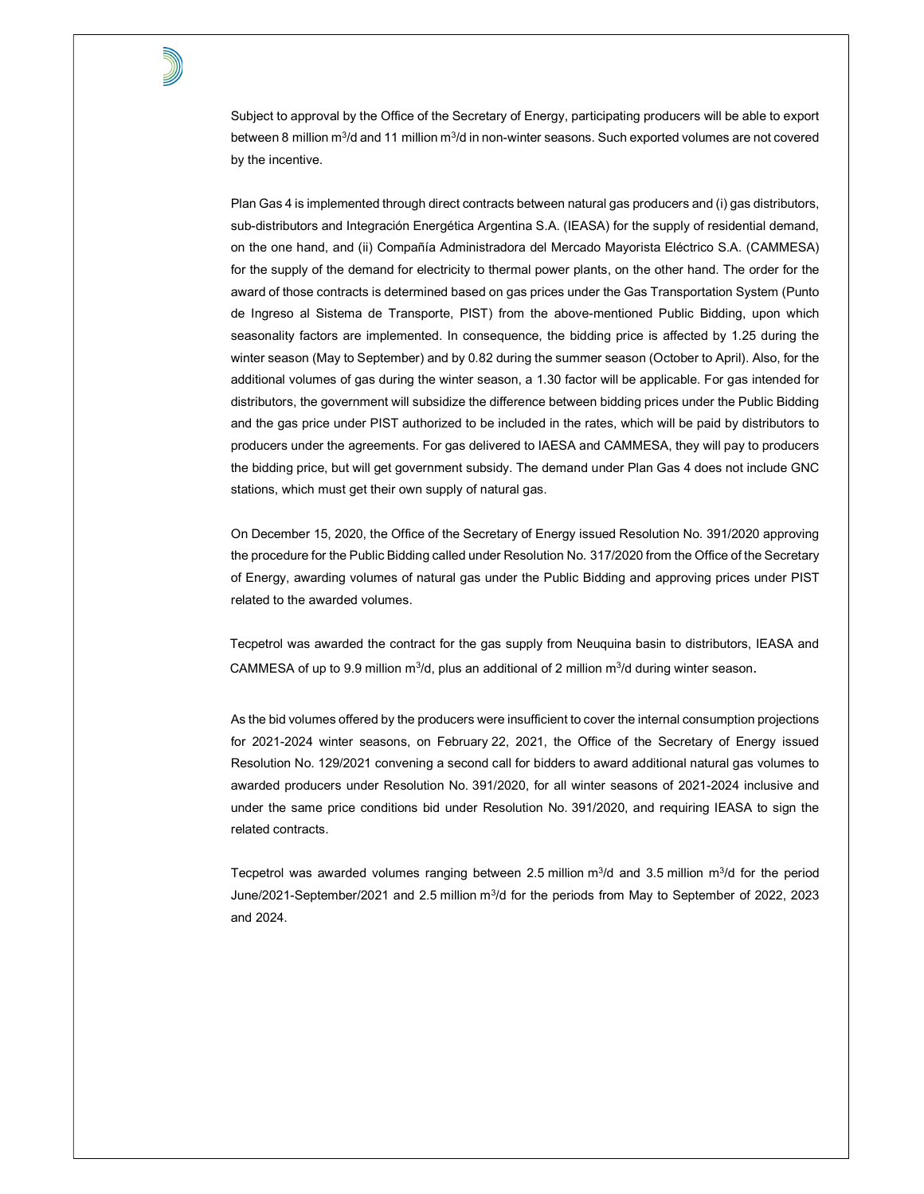Subject to approval by the Office of the Secretary of Energy, participating producers will be able to export between 8 million m ${}^{3}$ /d and 11 million m ${}^{3}$ /d in non-winter seasons. Such exported volumes are not covered by the incentive.

Plan Gas 4 is implemented through direct contracts between natural gas producers and (i) gas distributors, sub-distributors and Integración Energética Argentina S.A. (IEASA) for the supply of residential demand, on the one hand, and (ii) Compañía Administradora del Mercado Mayorista Eléctrico S.A. (CAMMESA) for the supply of the demand for electricity to thermal power plants, on the other hand. The order for the award of those contracts is determined based on gas prices under the Gas Transportation System (Punto de Ingreso al Sistema de Transporte, PIST) from the above-mentioned Public Bidding, upon which seasonality factors are implemented. In consequence, the bidding price is affected by 1.25 during the winter season (May to September) and by 0.82 during the summer season (October to April). Also, for the additional volumes of gas during the winter season, a 1.30 factor will be applicable. For gas intended for distributors, the government will subsidize the difference between bidding prices under the Public Bidding and the gas price under PIST authorized to be included in the rates, which will be paid by distributors to producers under the agreements. For gas delivered to IAESA and CAMMESA, they will pay to producers the bidding price, but will get government subsidy. The demand under Plan Gas 4 does not include GNC stations, which must get their own supply of natural gas.

On December 15, 2020, the Office of the Secretary of Energy issued Resolution No. 391/2020 approving the procedure for the Public Bidding called under Resolution No. 317/2020 from the Office of the Secretary of Energy, awarding volumes of natural gas under the Public Bidding and approving prices under PIST related to the awarded volumes.

Tecpetrol was awarded the contract for the gas supply from Neuquina basin to distributors, IEASA and CAMMESA of up to 9.9 million  $m^3/d$ , plus an additional of 2 million  $m^3/d$  during winter season.

As the bid volumes offered by the producers were insufficient to cover the internal consumption projections for 2021-2024 winter seasons, on February 22, 2021, the Office of the Secretary of Energy issued Resolution No. 129/2021 convening a second call for bidders to award additional natural gas volumes to awarded producers under Resolution No. 391/2020, for all winter seasons of 2021-2024 inclusive and under the same price conditions bid under Resolution No. 391/2020, and requiring IEASA to sign the related contracts.

Tecpetrol was awarded volumes ranging between 2.5 million  $m^3/d$  and 3.5 million  $m^3/d$  for the period June/2021-September/2021 and 2.5 million m<sup>3</sup>/d for the periods from May to September of 2022, 2023 and 2024.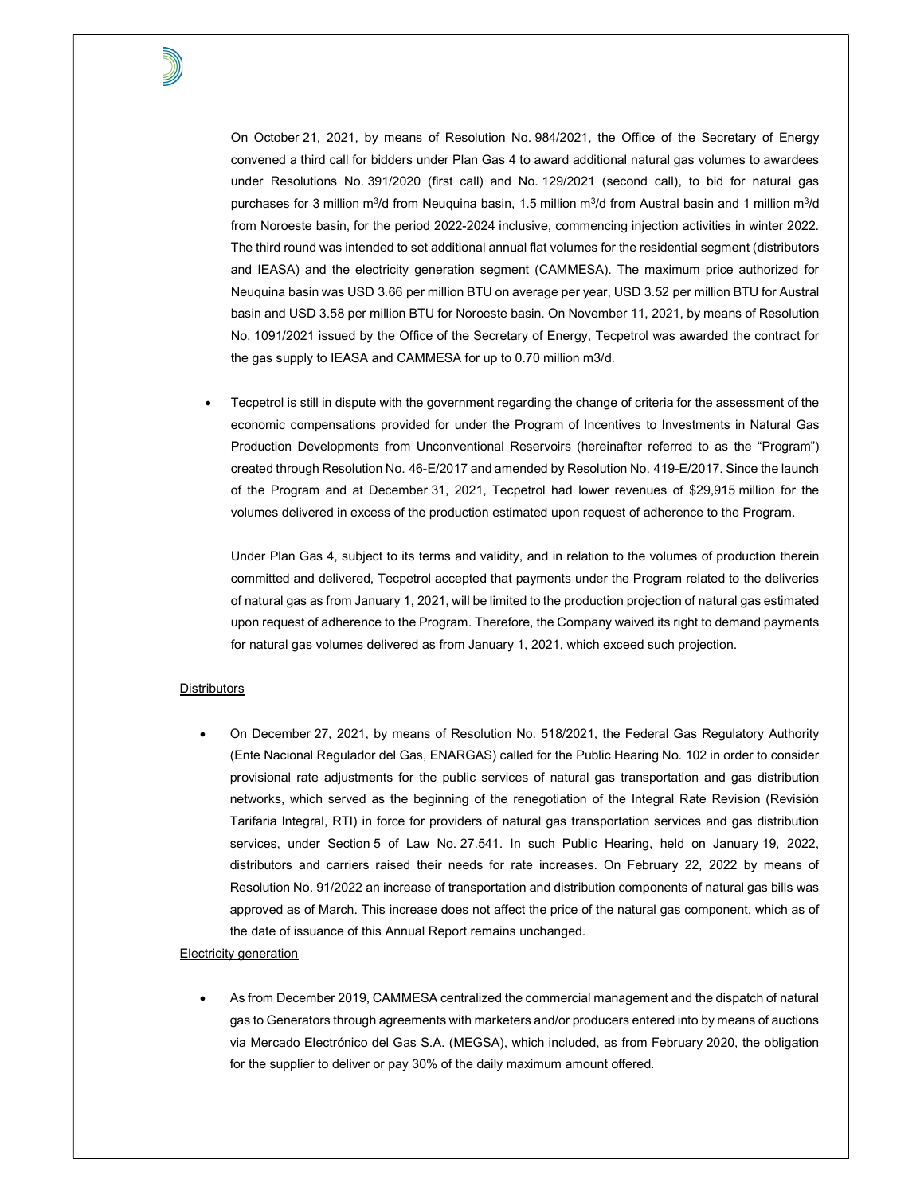

On October 21, 2021, by means of Resolution No. 984/2021, the Office of the Secretary of Energy convened a third call for bidders under Plan Gas 4 to award additional natural gas volumes to awardees under Resolutions No. 391/2020 (first call) and No. 129/2021 (second call), to bid for natural gas purchases for 3 million m $^3$ /d from Neuquina basin, 1.5 million m $^3$ /d from Austral basin and 1 million m $^3$ /d from Noroeste basin, for the period 2022-2024 inclusive, commencing injection activities in winter 2022. The third round was intended to set additional annual flat volumes for the residential segment (distributors and IEASA) and the electricity generation segment (CAMMESA). The maximum price authorized for Neuquina basin was USD 3.66 per million BTU on average per year, USD 3.52 per million BTU for Austral basin and USD 3.58 per million BTU for Noroeste basin. On November 11, 2021, by means of Resolution No. 1091/2021 issued by the Office of the Secretary of Energy, Tecpetrol was awarded the contract for the gas supply to IEASA and CAMMESA for up to 0.70 million m3/d.

 Tecpetrol is still in dispute with the government regarding the change of criteria for the assessment of the economic compensations provided for under the Program of Incentives to Investments in Natural Gas Production Developments from Unconventional Reservoirs (hereinafter referred to as the "Program") created through Resolution No. 46-E/2017 and amended by Resolution No. 419-E/2017. Since the launch of the Program and at December 31, 2021, Tecpetrol had lower revenues of \$29,915 million for the volumes delivered in excess of the production estimated upon request of adherence to the Program.

Under Plan Gas 4, subject to its terms and validity, and in relation to the volumes of production therein committed and delivered, Tecpetrol accepted that payments under the Program related to the deliveries of natural gas as from January 1, 2021, will be limited to the production projection of natural gas estimated upon request of adherence to the Program. Therefore, the Company waived its right to demand payments for natural gas volumes delivered as from January 1, 2021, which exceed such projection.

# **Distributors**

 On December 27, 2021, by means of Resolution No. 518/2021, the Federal Gas Regulatory Authority (Ente Nacional Regulador del Gas, ENARGAS) called for the Public Hearing No. 102 in order to consider provisional rate adjustments for the public services of natural gas transportation and gas distribution networks, which served as the beginning of the renegotiation of the Integral Rate Revision (Revisión Tarifaria Integral, RTI) in force for providers of natural gas transportation services and gas distribution services, under Section 5 of Law No. 27.541. In such Public Hearing, held on January 19, 2022, distributors and carriers raised their needs for rate increases. On February 22, 2022 by means of Resolution No. 91/2022 an increase of transportation and distribution components of natural gas bills was approved as of March. This increase does not affect the price of the natural gas component, which as of the date of issuance of this Annual Report remains unchanged.

## Electricity generation

 As from December 2019, CAMMESA centralized the commercial management and the dispatch of natural gas to Generators through agreements with marketers and/or producers entered into by means of auctions via Mercado Electrónico del Gas S.A. (MEGSA), which included, as from February 2020, the obligation for the supplier to deliver or pay 30% of the daily maximum amount offered.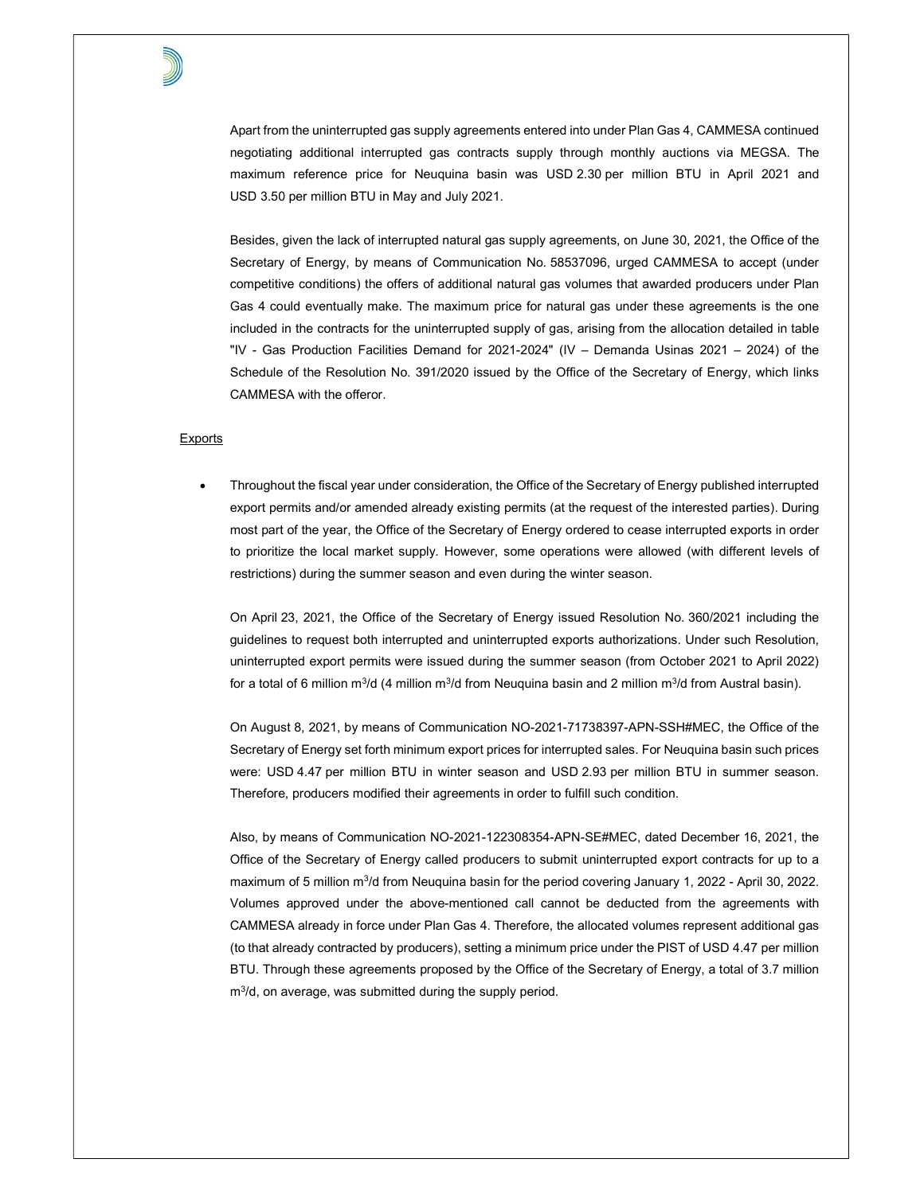Apart from the uninterrupted gas supply agreements entered into under Plan Gas 4, CAMMESA continued negotiating additional interrupted gas contracts supply through monthly auctions via MEGSA. The maximum reference price for Neuquina basin was USD 2.30 per million BTU in April 2021 and USD 3.50 per million BTU in May and July 2021.

Besides, given the lack of interrupted natural gas supply agreements, on June 30, 2021, the Office of the Secretary of Energy, by means of Communication No. 58537096, urged CAMMESA to accept (under competitive conditions) the offers of additional natural gas volumes that awarded producers under Plan Gas 4 could eventually make. The maximum price for natural gas under these agreements is the one included in the contracts for the uninterrupted supply of gas, arising from the allocation detailed in table "IV - Gas Production Facilities Demand for 2021-2024" (IV – Demanda Usinas 2021 – 2024) of the Schedule of the Resolution No. 391/2020 issued by the Office of the Secretary of Energy, which links CAMMESA with the offeror.

## **Exports**

 Throughout the fiscal year under consideration, the Office of the Secretary of Energy published interrupted export permits and/or amended already existing permits (at the request of the interested parties). During most part of the year, the Office of the Secretary of Energy ordered to cease interrupted exports in order to prioritize the local market supply. However, some operations were allowed (with different levels of restrictions) during the summer season and even during the winter season.

On April 23, 2021, the Office of the Secretary of Energy issued Resolution No. 360/2021 including the guidelines to request both interrupted and uninterrupted exports authorizations. Under such Resolution, uninterrupted export permits were issued during the summer season (from October 2021 to April 2022) for a total of 6 million m $3$ /d (4 million m $3$ /d from Neuquina basin and 2 million m $3$ /d from Austral basin).

On August 8, 2021, by means of Communication NO-2021-71738397-APN-SSH#MEC, the Office of the Secretary of Energy set forth minimum export prices for interrupted sales. For Neuquina basin such prices were: USD 4.47 per million BTU in winter season and USD 2.93 per million BTU in summer season. Therefore, producers modified their agreements in order to fulfill such condition.

Also, by means of Communication NO-2021-122308354-APN-SE#MEC, dated December 16, 2021, the Office of the Secretary of Energy called producers to submit uninterrupted export contracts for up to a maximum of 5 million m<sup>3</sup>/d from Neuquina basin for the period covering January 1, 2022 - April 30, 2022. Volumes approved under the above-mentioned call cannot be deducted from the agreements with CAMMESA already in force under Plan Gas 4. Therefore, the allocated volumes represent additional gas (to that already contracted by producers), setting a minimum price under the PIST of USD 4.47 per million BTU. Through these agreements proposed by the Office of the Secretary of Energy, a total of 3.7 million m<sup>3</sup> /d, on average, was submitted during the supply period.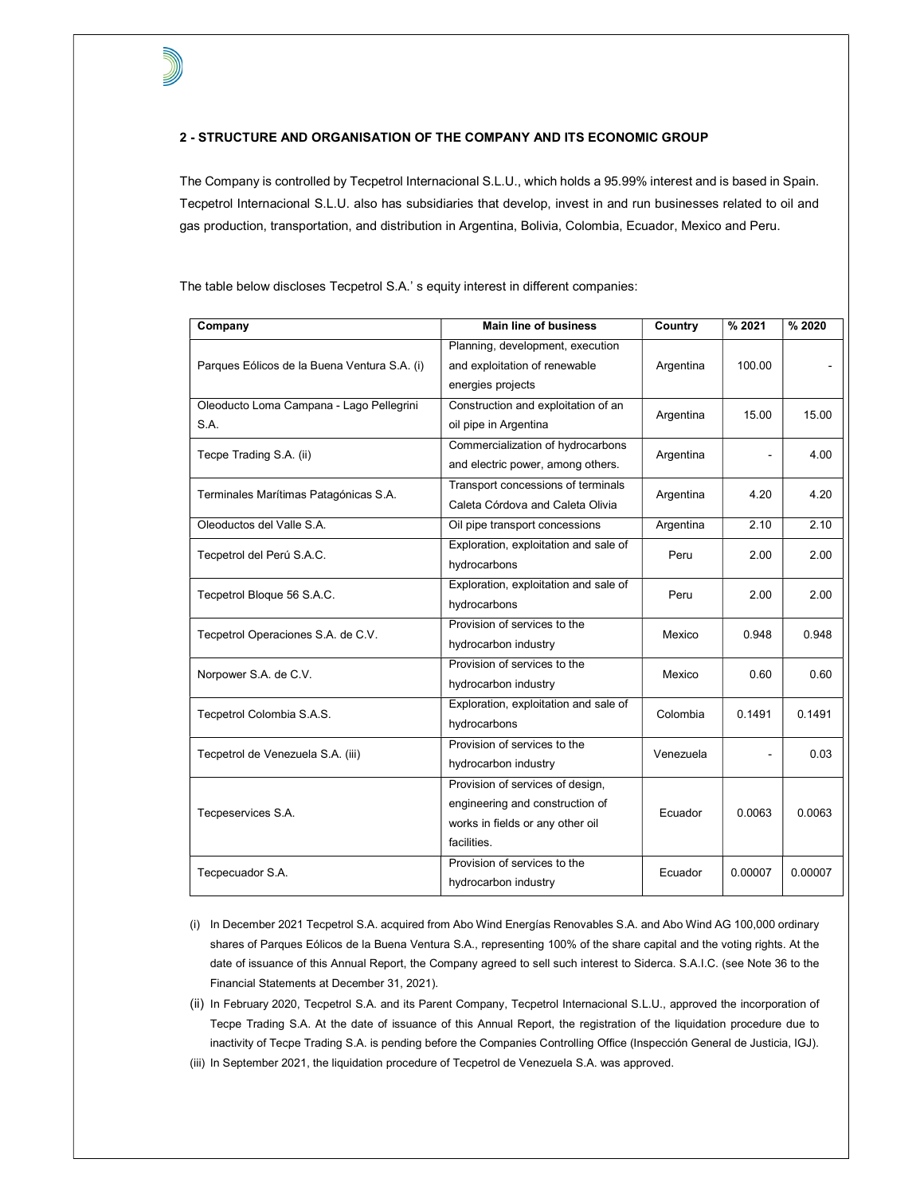## 2 - STRUCTURE AND ORGANISATION OF THE COMPANY AND ITS ECONOMIC GROUP

The Company is controlled by Tecpetrol Internacional S.L.U., which holds a 95.99% interest and is based in Spain. Tecpetrol Internacional S.L.U. also has subsidiaries that develop, invest in and run businesses related to oil and gas production, transportation, and distribution in Argentina, Bolivia, Colombia, Ecuador, Mexico and Peru.

Company **Main line of business** Country | % 2021 | % 2020 Parques Eólicos de la Buena Ventura S.A. (i) Planning, development, execution and exploitation of renewable energies projects Argentina 100.00 Oleoducto Loma Campana - Lago Pellegrini S.A. Construction and exploitation of an oil pipe in Argentina Argentina | 15.00 | 15.00 Tecpe Trading S.A. (ii) Commercialization of hydrocarbons and electric power, among others. Argentina  $\vert$  - 4.00 Terminales Marítimas Patagónicas S.A. Transport concessions of terminals Caleta Córdova and Caleta Olivia Argentina | 4.20 | 4.20 Oleoductos del Valle S.A. Oil pipe transport concessions Argentina 2.10 2.10 Tecpetrol del Perú S.A.C. Exploration, exploitation and sale of hydrocarbons Peru 2.00 2.00 Tecpetrol Bloque 56 S.A.C. Exploration, exploitation and sale of hydrocarbons Peru 2.00 2.00 Tecpetrol Operaciones S.A. de C.V. Provision of services to the hydrocarbon industry Mexico | 0.948 0.948 Norpower S.A. de C.V. Provision of services to the hydrocarbon industry Mexico 0.60 0.60 Tecpetrol Colombia S.A.S. Exploration, exploitation and sale of hydrocarbons Colombia 0.1491 0.1491 Tecpetrol de Venezuela S.A. (iii) Provision of services to the hydrocarbon industry  $Venezuela$   $-$  0.03 Tecpeservices S.A. Provision of services of design, engineering and construction of works in fields or any other oil facilities. Ecuador 0.0063 0.0063 Tecpecuador S.A. Provision of services to the hydrocarbon industry Ecuador 0.00007 0.00007

The table below discloses Tecpetrol S.A.' s equity interest in different companies:

- (i) In December 2021 Tecpetrol S.A. acquired from Abo Wind Energías Renovables S.A. and Abo Wind AG 100,000 ordinary shares of Parques Eólicos de la Buena Ventura S.A., representing 100% of the share capital and the voting rights. At the date of issuance of this Annual Report, the Company agreed to sell such interest to Siderca. S.A.I.C. (see Note 36 to the Financial Statements at December 31, 2021).
- (ii) In February 2020, Tecpetrol S.A. and its Parent Company, Tecpetrol Internacional S.L.U., approved the incorporation of Tecpe Trading S.A. At the date of issuance of this Annual Report, the registration of the liquidation procedure due to inactivity of Tecpe Trading S.A. is pending before the Companies Controlling Office (Inspección General de Justicia, IGJ).
- (iii) In September 2021, the liquidation procedure of Tecpetrol de Venezuela S.A. was approved.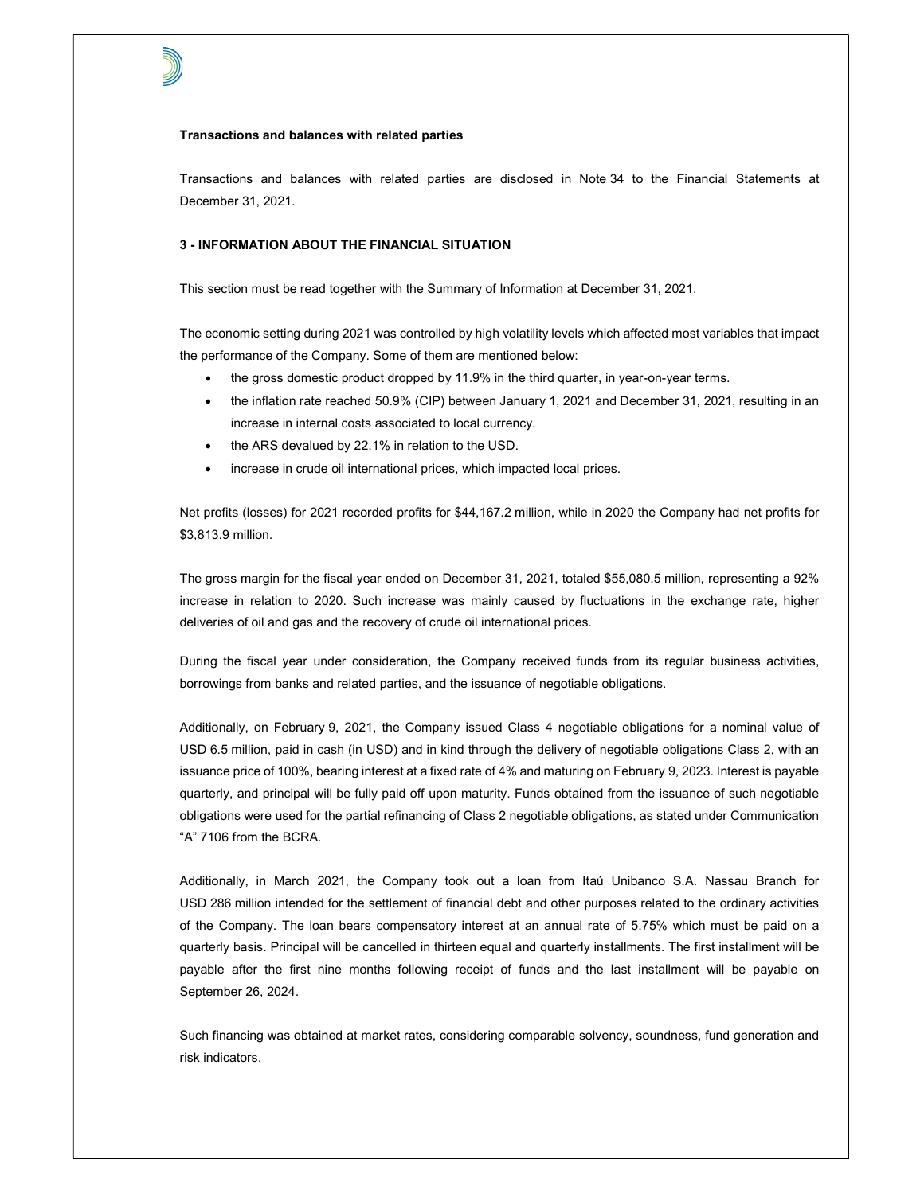#### Transactions and balances with related parties

Transactions and balances with related parties are disclosed in Note 34 to the Financial Statements at December 31, 2021.

# 3 - INFORMATION ABOUT THE FINANCIAL SITUATION

This section must be read together with the Summary of Information at December 31, 2021.

The economic setting during 2021 was controlled by high volatility levels which affected most variables that impact the performance of the Company. Some of them are mentioned below:

- the gross domestic product dropped by 11.9% in the third quarter, in year-on-year terms.
- the inflation rate reached 50.9% (CIP) between January 1, 2021 and December 31, 2021, resulting in an increase in internal costs associated to local currency.
- the ARS devalued by 22.1% in relation to the USD.
- increase in crude oil international prices, which impacted local prices.

Net profits (losses) for 2021 recorded profits for \$44,167.2 million, while in 2020 the Company had net profits for \$3,813.9 million.

The gross margin for the fiscal year ended on December 31, 2021, totaled \$55,080.5 million, representing a 92% increase in relation to 2020. Such increase was mainly caused by fluctuations in the exchange rate, higher deliveries of oil and gas and the recovery of crude oil international prices.

During the fiscal year under consideration, the Company received funds from its regular business activities, borrowings from banks and related parties, and the issuance of negotiable obligations.

Additionally, on February 9, 2021, the Company issued Class 4 negotiable obligations for a nominal value of USD 6.5 million, paid in cash (in USD) and in kind through the delivery of negotiable obligations Class 2, with an issuance price of 100%, bearing interest at a fixed rate of 4% and maturing on February 9, 2023. Interest is payable quarterly, and principal will be fully paid off upon maturity. Funds obtained from the issuance of such negotiable obligations were used for the partial refinancing of Class 2 negotiable obligations, as stated under Communication "A" 7106 from the BCRA.

Additionally, in March 2021, the Company took out a loan from Itaú Unibanco S.A. Nassau Branch for USD 286 million intended for the settlement of financial debt and other purposes related to the ordinary activities of the Company. The loan bears compensatory interest at an annual rate of 5.75% which must be paid on a quarterly basis. Principal will be cancelled in thirteen equal and quarterly installments. The first installment will be payable after the first nine months following receipt of funds and the last installment will be payable on September 26, 2024.

Such financing was obtained at market rates, considering comparable solvency, soundness, fund generation and risk indicators.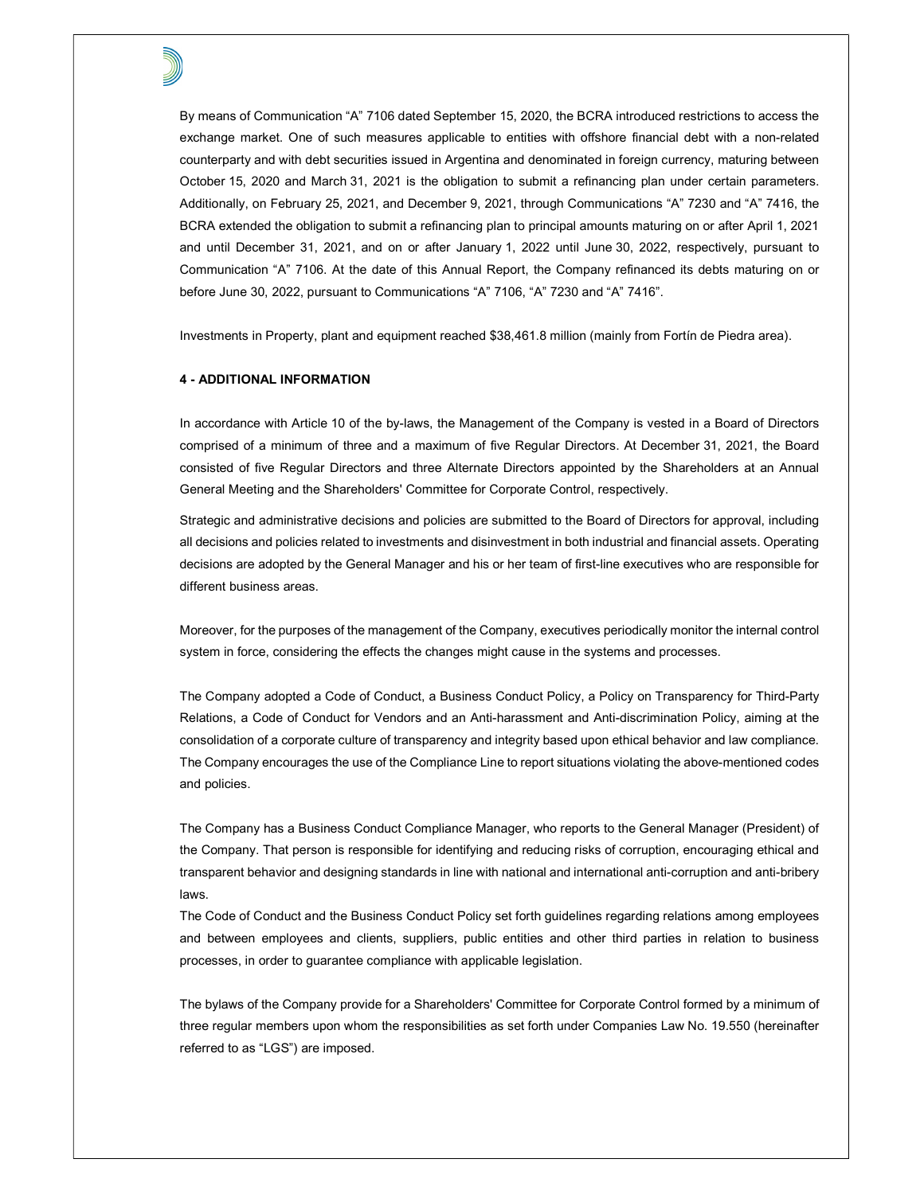By means of Communication "A" 7106 dated September 15, 2020, the BCRA introduced restrictions to access the exchange market. One of such measures applicable to entities with offshore financial debt with a non-related counterparty and with debt securities issued in Argentina and denominated in foreign currency, maturing between October 15, 2020 and March 31, 2021 is the obligation to submit a refinancing plan under certain parameters. Additionally, on February 25, 2021, and December 9, 2021, through Communications "A" 7230 and "A" 7416, the BCRA extended the obligation to submit a refinancing plan to principal amounts maturing on or after April 1, 2021 and until December 31, 2021, and on or after January 1, 2022 until June 30, 2022, respectively, pursuant to Communication "A" 7106. At the date of this Annual Report, the Company refinanced its debts maturing on or before June 30, 2022, pursuant to Communications "A" 7106, "A" 7230 and "A" 7416".

Investments in Property, plant and equipment reached \$38,461.8 million (mainly from Fortín de Piedra area).

## 4 - ADDITIONAL INFORMATION

In accordance with Article 10 of the by-laws, the Management of the Company is vested in a Board of Directors comprised of a minimum of three and a maximum of five Regular Directors. At December 31, 2021, the Board consisted of five Regular Directors and three Alternate Directors appointed by the Shareholders at an Annual General Meeting and the Shareholders' Committee for Corporate Control, respectively.

Strategic and administrative decisions and policies are submitted to the Board of Directors for approval, including all decisions and policies related to investments and disinvestment in both industrial and financial assets. Operating decisions are adopted by the General Manager and his or her team of first-line executives who are responsible for different business areas.

Moreover, for the purposes of the management of the Company, executives periodically monitor the internal control system in force, considering the effects the changes might cause in the systems and processes.

The Company adopted a Code of Conduct, a Business Conduct Policy, a Policy on Transparency for Third-Party Relations, a Code of Conduct for Vendors and an Anti-harassment and Anti-discrimination Policy, aiming at the consolidation of a corporate culture of transparency and integrity based upon ethical behavior and law compliance. The Company encourages the use of the Compliance Line to report situations violating the above-mentioned codes and policies.

The Company has a Business Conduct Compliance Manager, who reports to the General Manager (President) of the Company. That person is responsible for identifying and reducing risks of corruption, encouraging ethical and transparent behavior and designing standards in line with national and international anti-corruption and anti-bribery laws.

The Code of Conduct and the Business Conduct Policy set forth guidelines regarding relations among employees and between employees and clients, suppliers, public entities and other third parties in relation to business processes, in order to guarantee compliance with applicable legislation.

The bylaws of the Company provide for a Shareholders' Committee for Corporate Control formed by a minimum of three regular members upon whom the responsibilities as set forth under Companies Law No. 19.550 (hereinafter referred to as "LGS") are imposed.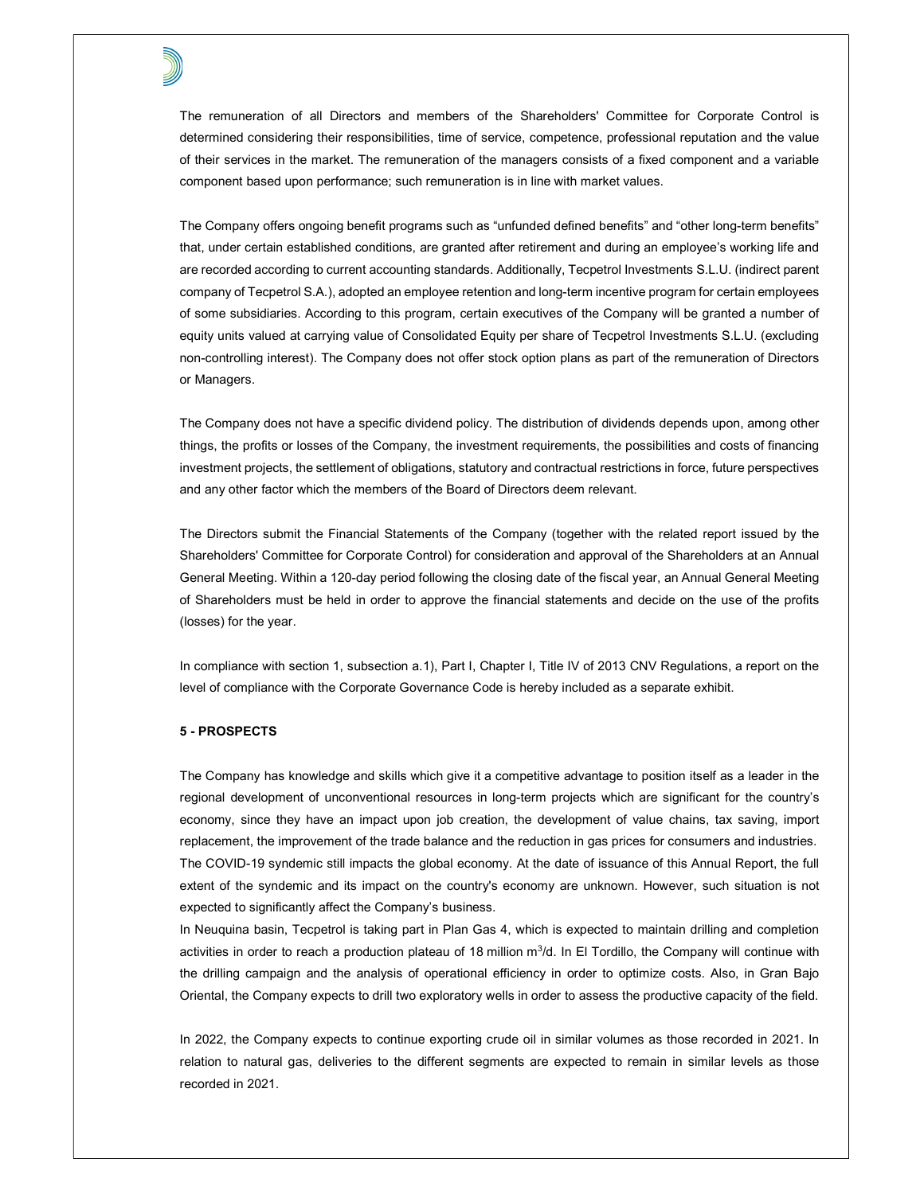The remuneration of all Directors and members of the Shareholders' Committee for Corporate Control is determined considering their responsibilities, time of service, competence, professional reputation and the value of their services in the market. The remuneration of the managers consists of a fixed component and a variable component based upon performance; such remuneration is in line with market values.

The Company offers ongoing benefit programs such as "unfunded defined benefits" and "other long-term benefits" that, under certain established conditions, are granted after retirement and during an employee's working life and are recorded according to current accounting standards. Additionally, Tecpetrol Investments S.L.U. (indirect parent company of Tecpetrol S.A.), adopted an employee retention and long-term incentive program for certain employees of some subsidiaries. According to this program, certain executives of the Company will be granted a number of equity units valued at carrying value of Consolidated Equity per share of Tecpetrol Investments S.L.U. (excluding non-controlling interest). The Company does not offer stock option plans as part of the remuneration of Directors or Managers.

The Company does not have a specific dividend policy. The distribution of dividends depends upon, among other things, the profits or losses of the Company, the investment requirements, the possibilities and costs of financing investment projects, the settlement of obligations, statutory and contractual restrictions in force, future perspectives and any other factor which the members of the Board of Directors deem relevant.

The Directors submit the Financial Statements of the Company (together with the related report issued by the Shareholders' Committee for Corporate Control) for consideration and approval of the Shareholders at an Annual General Meeting. Within a 120-day period following the closing date of the fiscal year, an Annual General Meeting of Shareholders must be held in order to approve the financial statements and decide on the use of the profits (losses) for the year.

In compliance with section 1, subsection a.1), Part I, Chapter I, Title IV of 2013 CNV Regulations, a report on the level of compliance with the Corporate Governance Code is hereby included as a separate exhibit.

# 5 - PROSPECTS

The Company has knowledge and skills which give it a competitive advantage to position itself as a leader in the regional development of unconventional resources in long-term projects which are significant for the country's economy, since they have an impact upon job creation, the development of value chains, tax saving, import replacement, the improvement of the trade balance and the reduction in gas prices for consumers and industries. The COVID-19 syndemic still impacts the global economy. At the date of issuance of this Annual Report, the full extent of the syndemic and its impact on the country's economy are unknown. However, such situation is not expected to significantly affect the Company's business.

In Neuquina basin, Tecpetrol is taking part in Plan Gas 4, which is expected to maintain drilling and completion activities in order to reach a production plateau of 18 million  $m^3/d$ . In El Tordillo, the Company will continue with the drilling campaign and the analysis of operational efficiency in order to optimize costs. Also, in Gran Bajo Oriental, the Company expects to drill two exploratory wells in order to assess the productive capacity of the field.

In 2022, the Company expects to continue exporting crude oil in similar volumes as those recorded in 2021. In relation to natural gas, deliveries to the different segments are expected to remain in similar levels as those recorded in 2021.